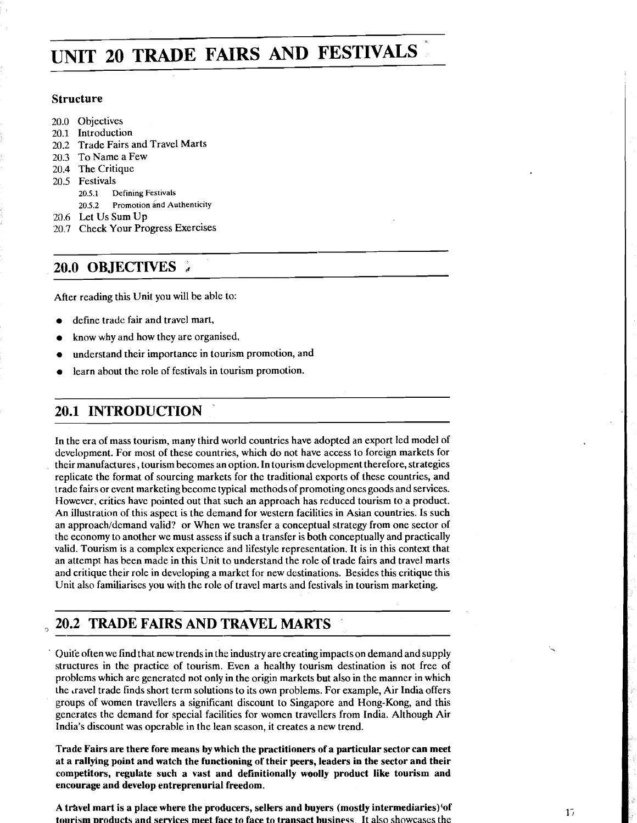# **UNIT 20 TRADE FAIRS AND FESTIVALS**

### **Structure**

- 20.0 Objectives
- 20.1 Introduction
- 20.2 Trade Fairs and Travel Marts
- 20.3 To Name a Few
- 20.4 The Critique
- 20.5 Festivals
	- **20.5.1 Defining Festivals**
	- **20.5.2 Promotion ind Authenticity**
- 20.6 Let Us Sum Up
- 20.7 Check Your Progress Exercises

### **20.0 OBJECTIVES**

After reading this Unit you will be able to:

- define trade fair and travel mart,
- know why and how they are organised.
- understand their importance in tourism promotion, and
- learn about thc role of festivals in tourism promotion.

# **20.1 INTRODUCTION**

In the era of mass tourism. many third world countries have adopted an export led model of development. For most of these countries, which do not have access to foreign markets for their manufactures, tourism becomes an option. In tourism development therefore, strategies replicate the format of sourcing markets for the traditional exports of these countries, and trade fairs or event marketing become typical methods of promoting ones goods and services. However, critics have pointed out that such an approach has reduced tourism to a product. An illustration of this aspect is the demand for western facilities in Asian countries. Is such an approach/demand valid? or When we transfer a conceptual strategy from one sector of the economy to another we must assess if such a transfer is both conceptually and practically valid. Tourism is a complex experience and lifestyle representation. It is in this context that an attempt has been made in this Unit to understand the role of trade fairs and travel marts and critique their role in developing a market for new destinations. Besides this critique this Unit also familiariscs you with the role of travel marts and festivals in tourism marketing.

# **20.2 TRADE FAIRS AND TRAVEL MARTS**

Quite often we find that new trends in the industry are creating impacts on demand and supply structures in the practice of tourism. Even a healthy tourism destination is not free of problems which are generated not only in the origin markets but also in the manner in which the Lravel trade finds short term solutions to its own problems. For example, Air India offers groups of women travellers a significant discount to Singapore and Hong-Kong, and this generates the demand for special facilities for women travellers from India. Although Air India's discount was operable in the lean season, it creates a new trend.

**Trade Fairs are there fore means by which the practitioners of a particular sector can meet at a rallying point and watch the functioning of their peers, leaders in the sector and their competitors, regulate such a vast and definitionally woolly product like tourism and encourage and develop entreprenurial freedom.** 

**A trttvel mart is a place where the producers, sellers and buyers (mostly intermediaries)'of tourism ~roducts and services meet face to face to transact busines.** It also showcases the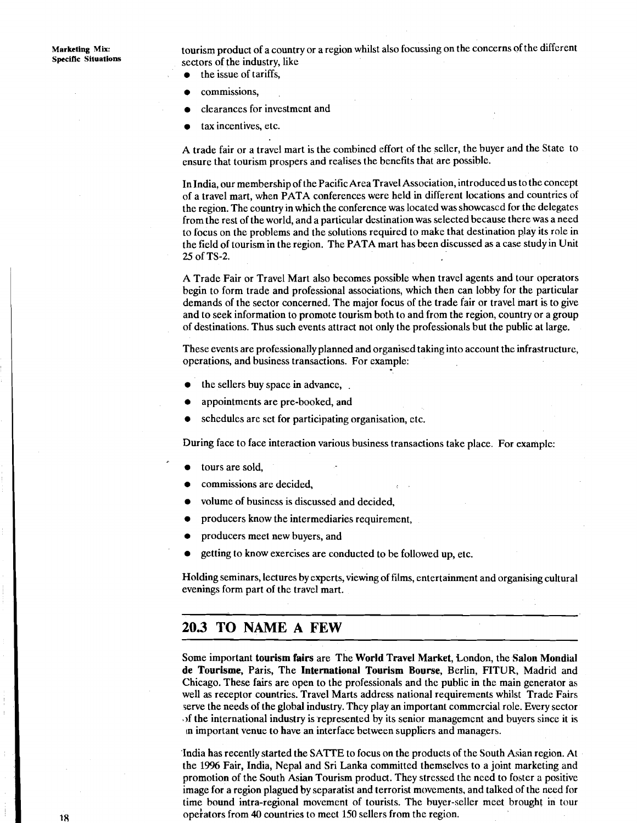tourism product of a country or a region whilst also focussing on the concerns of the different sectors of the industry, like

- the issue of tariffs,
- commissions,
- clearances for investment and
- tax incentives, etc.

A trade fair or a travel mart is the combined effort of the seller, the buyer and the State to ensure that tourism prospers and realises the benefits that are possible.

In India, our membership of the Pacific Area Travel Association, introduced us to the concept of a travel mart, when PATA conferences were held in different locations and countries of the region. The country in which the conference was located was showcascd for the delegates from the rest of the world, and a particular destination was selected because there was a need to focus on the problems and the solutions required to make that destination play its role in the field of tourism in the region. The PATA mart has been discussed as a case study in Unit 25 of TS-2.

A Trade Fair or Travel Mart also becomes possible when travel agents and tour operators begin to form trade and professional associations, which then can lobby for the particular demands of the sector concerned. The major focus of the trade fair or travel mart is to give and to seek information to promote tourism both to and from the region, country or a group of destinations. Thus such events attract not only the professionals but the public at large.

These events are professionally planned and organised taking into account the infrastructure, operations, and business transactions. For example:

- the sellers buy space in advance, .
- appointments are pre-booked, and
- schedules are set for participating organisation, etc.

During face to face interaction various business transactions take place. For example:

- tours are sold,
- commissions are decided,
- volume of business is discussed and decided,
- producers know the intermediaries requirement,
- producers meet new buyers, and
- getting to know exercises are conducted to be followed up, etc.

Holding seminars, lectures by experts, viewing of films, entertainment and organising cultural evenings form part of the travel mart.

### **20.3 TO NAME A FEW**

Some important tourism fairs are The World Travel Market, London, the Salon Mondial de Tourisme, Paris, The International Tourism Bourse, Berlin, FITUR, Madrid and Chicago. These fairs are open to the professionals and the public in the main generator as well as receptor countries. Travel Marts address national requirements whilst Trade Fairs 5erve the needs of the global industry. Thcy play an important commercial role. Every sector ,)f the international industry is represented by its senior management and buyers since it is In important venue to have an interface between suppliers and managers.

'India has recently started the SATTE to focus on the products of the South Asian region. At the 1996 Fair, India, Nepal and Sri Lanka committed themselves to a joint marketing and promotion of the South Asian Tourism product. They stressed the need to foster a positive image for a region plagued by separatist and terrorist movements, and talked of the need for time bound intra-regional movement of tourists. The buyer-seller meet brought in tour opetators from 40 countries to mect 150 sellers from the region.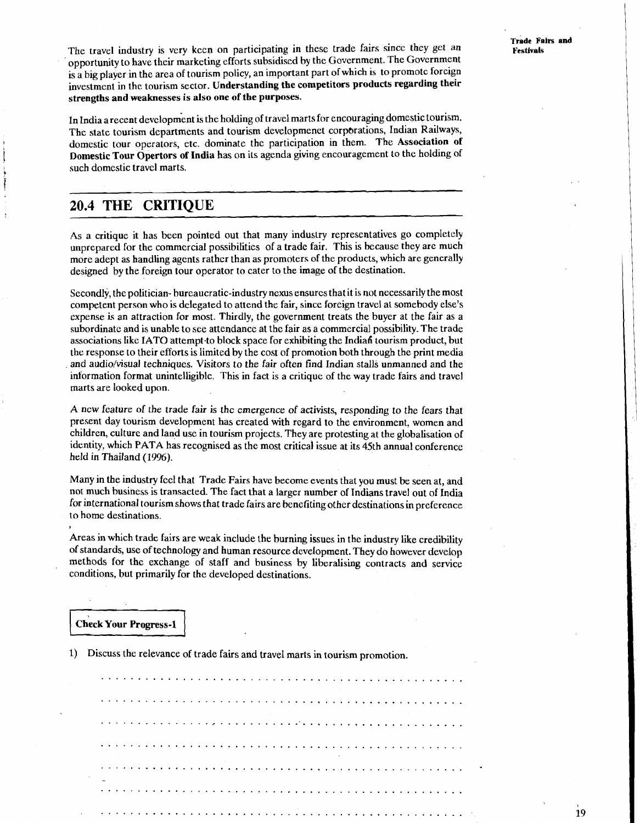The travel industry is very keen on participating in these trade fairs since they get an opportunity to have their marketing efforts subsidised by the Government. The Government is a big player in the area of tourism policy, an important part of which is to promote foreign investment in the tourism sector. **Understanding the competitors products regarding their strengths and weaknesses is also one of the purposes.** 

In India a recent development is the holding of travel marts for encouraging domestic tourism. The state tourism departments and tourism developmenet corporations, Indian Railways, domestic tour operators, etc. dominate the participation in them. The **Association of Domestic Tour Opertors of India** has on its agenda giving encouragement to the holding of such domestic travel marts.

# **20.4 THE CRITIQUE**

As a critique it has been pointed out that many industry representatives go completely unprepared for the commercial possibilities of a trade fair. This is because they are much more adept as handling agents rather than as promoters of the products, which are generally designed by the foreign tour operator to cater to the image of the destination.

Secondly, the politician- bureaucratic-industry nexus ensures that it is not necessarily the most competent person who is delegated to attend the fair, since foreign travel a1 somebody else's expense is an attraction for most. Thirdly, the government treats the buyer at the fair as a subordinate and is unable to see attendance at the fair as a commercial possibility. The trade associations like IATO attempt to block space for exhibiting the Indian tourism product, but the response to their cfforts is limited by the cost of promotion both through the print media and audio/visual techniques. Visitors to the fair often find Indian stalls unmanned and the information format unintelligible. This in fact is a critique of the way trade fairs and travel marts are looked upon.

A ncw feature of the trade fair is thc emergence of activists, responding to the fears that present day tourism development has created with regard to the environment, women and children, culture and land use in tourism projects. They are protesting at the globalisation of identity, which PATA has recognised as the most critical issue at its 45th annual conference held in Thailand (1996).

Many in the industry feel that Trade Fairs have become events that you must be seen at, and not much business is transacted. The fact that a larger number of Indians travel out of India for international tourism shows that trade fairs are benefiting other destinations in preference to home destinations.

Areas in which trade fairs are weak include the burning issues in the industry like credibility of standards, use of technology and human resource development. They do however develop methods for the exchange of staff and business by liberalising contracts and service conditions, but primarily for the developed destinations.

1) Discuss the relevance of trade fairs and travel marts in tourism promotion.

Its must industry is very bost an participating in these finals that they get must represent the properties of the content of the content of the content of the content of the content of the content of the content of the c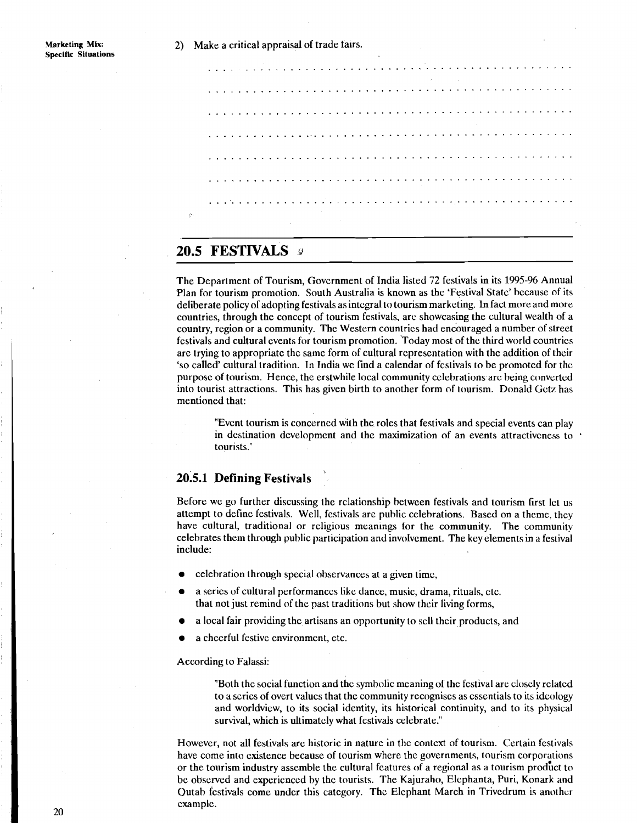|    |  |  |  |  |  |  |  |                          |  |  |                        |                                                                 |  |  | the contract of the contract of the contract of the contract of |  |  |  |  |  |  |  |                                                             |  |  |  |                                                                                                                |  |
|----|--|--|--|--|--|--|--|--------------------------|--|--|------------------------|-----------------------------------------------------------------|--|--|-----------------------------------------------------------------|--|--|--|--|--|--|--|-------------------------------------------------------------|--|--|--|----------------------------------------------------------------------------------------------------------------|--|
|    |  |  |  |  |  |  |  |                          |  |  |                        |                                                                 |  |  |                                                                 |  |  |  |  |  |  |  |                                                             |  |  |  |                                                                                                                |  |
|    |  |  |  |  |  |  |  |                          |  |  |                        |                                                                 |  |  |                                                                 |  |  |  |  |  |  |  | the control of the control of the control of the control of |  |  |  |                                                                                                                |  |
|    |  |  |  |  |  |  |  |                          |  |  |                        |                                                                 |  |  |                                                                 |  |  |  |  |  |  |  |                                                             |  |  |  |                                                                                                                |  |
|    |  |  |  |  |  |  |  |                          |  |  |                        |                                                                 |  |  |                                                                 |  |  |  |  |  |  |  |                                                             |  |  |  |                                                                                                                |  |
| ÷. |  |  |  |  |  |  |  |                          |  |  |                        | the contract of the contract of the contract of the contract of |  |  |                                                                 |  |  |  |  |  |  |  |                                                             |  |  |  | a di sebagai sebagai sebagai sebagai sebagai sebagai sebagai sebagai sebagai sebagai sebagai sebagai sebagai s |  |
|    |  |  |  |  |  |  |  | <b>Contract Contract</b> |  |  | and the control of the |                                                                 |  |  |                                                                 |  |  |  |  |  |  |  |                                                             |  |  |  |                                                                                                                |  |

# **20.5 FESTIVALS i2**

The Department of Tourism, Government of India listed 72 festivals in its 1995-96 Annual Plan for tourism promotion. South Australia is known as the 'Festival Statc' because of its deliberate policy of adopting festivals as intcgral to tourism marketing. In fact more and more countries, through the concept of tourism festivals, arc showcasing the cultural wcalth of a country, region or a community. The Western countrics had encouraged a number of street festivals and cultural events for tourism promotion. Today most of the third world countries are trying to appropriate the same form of cultural representation with the addition of their 'so called' cultural tradition. In India we find a calendar of fcstivals to be promoted for thc purpose of tourism. Hence, the erstwhile local community cclebrations arc being converted into tourist attractions. This has given birth to another form of tourism. Donald Getz has mentioned that:

"Event tourism is concerned with the roles that festivaIs and special events can play in destination development and the maximization of an events attractiveness to tourists."

### **20.5.1 Defining Festivals**

Before we go further discussing the rclationship between festivals and tourism first let us attempt to define festivals. Well. fcstivals are public cclebrations. Based on a themc. they have cultural, traditional or religious meanlngs for the community. The community celebrates them through public participation and invoIvement. The key elements in a festival include:

- **a** celebration through special observances at a given timc,
- a series of cultural perforrnanccs likc dance, music, drama, rituals, ctc.  $\bullet$ that not just remind of the past traditions but show thcir living forms,
- **a** a local fair providing the artisans an opportunity to sell their products, and
- **a** a cheerful festive environment, etc.

### According to Falassi:

"Both the social function and the symbolic meaning of the festival are closely related to a series of overt valucs that the community recognises as essentials to its ideology and worldview, to its social identity, its historical continuity, and to its physical survival, which is ultimately what fcstivals celebrate."

However, not all festivals are historic in nature in the context of tourism. Certain festivals have come into existence because of tourism where the governments, tourism corporations or the tourism industry assemble the cultural features of a regional as a tourism product to be obscrved and expericnced by the tourists. The Kajuraho, Elcphanta, Puri, Konark and Qutab festivals come under this category. The Elephant March in Trivedrum is another example.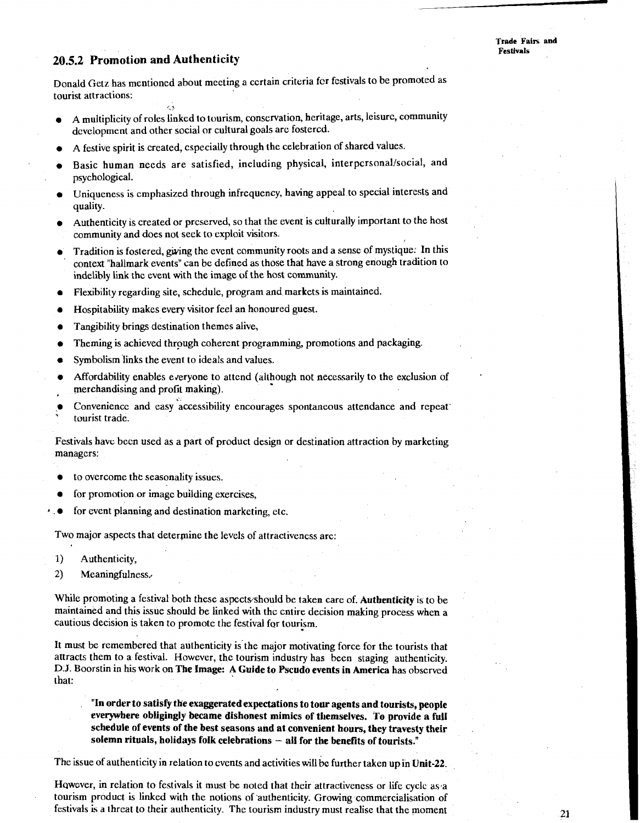### **20.5.2 Promotion and Authenticity**

Donald Getz has mentioned about meeting a ccrtain criteria fcr festivals to be promoted as tourist attractions:

- A multiplicity of roles linked to tourism, conservation, heritage, arts, leisure, community dcvclopment and other social or cultural goals arc fostercd.
- A festive spirit is created, cspecially through the celebration of shared values.
- Basic human needs are satisfied, including physical, interpcrsonal/social, and psychological.
- Uniqueness is emphasized through infrequency, having appeal to special interests and quality.
- Authenticity 1s created or preserved, so that the event is culturally important to the host community and does not seek to exploit visitors.
- Tradition is fostered, giving the event community roots and a sense of mystique: In this ' context "hallmark events" can be defined as those that have a strong enough tradition to indelibly link the event with the image of the host community.
- Flexibility regarding site, schedule, program and markets is maintained.
- Hospitability makes every visitor feel an honoured guest.
- Tangibility brings destination themes alive,
- Theming is achieved through coherent programming, promotions and packaging.
- Symbolism'links the event to ideals and values.
- Affordability enables everyone to attend (although not necessarily to the exclusion of merchandising and profit making).
- Convenience and easy accessibility encourages spontaneous attendance and repeat tourist trade.

Festivals have bcen used as a part of product design or destination attraction by marketing managers:

- to overcome the seasonality issues.
- for promotion or imagc building exercises,
- . for event planning and destination marketing, ctc.

Two major aspects that determine the levels of attractiveness are:

- 1) Authenticity,
- 2) Meaningfulness.,

While promoting a festival both these aspects/should be taken care of. Authenticity is to be maintained and this issue should be linked with the cntire decision making process when a cautious decision is taken to promote the festival for tourism.

It must be remembered that authenticity is.the major motivating force for the tourists that attracts them to a festival. However, the tourism industry has been staging authenticity. D.J. Boorslin in his work on **The Image:** A **Guide to Pscudo events in America** has observed that:

**"In order to satisfy the exaggeratedexpectations to tour agents and tourists, people everywhere obligingly became dishonest mimics of themselves. To provide a full schedule of events of the best seasons and at convenient hours, they travesty their**  solemn rituals, holidays folk celebrations - all for the benefits of tourists."

The issue of authenticity in relation to cvents and activities will bc further taken up in **Unit-22.** 

However, in relation to festivals it must be noted that their attractiveness or life cycle as a tourism product is linked with the notions of 'authenticity. Growing commercialisation of festivals is a threat to their authenticity. The tourism industry must realise that the moment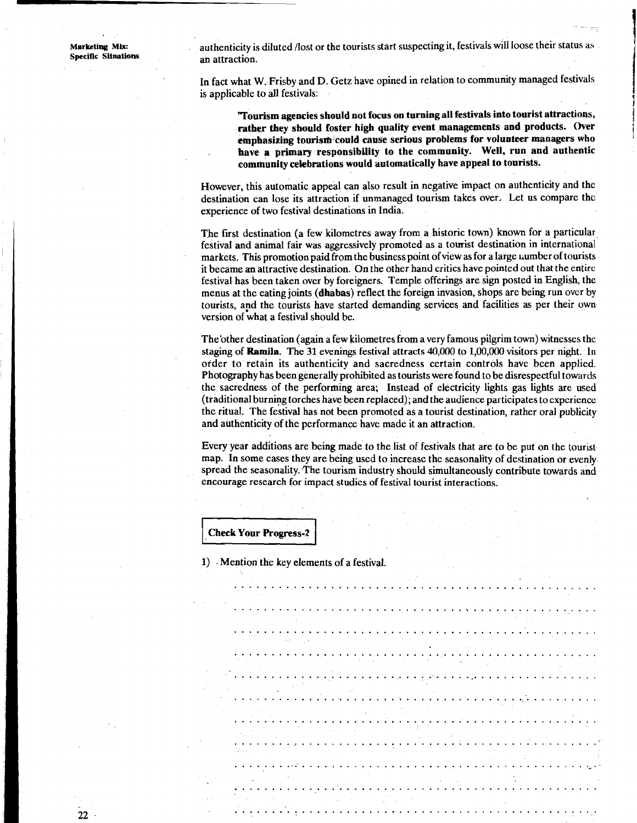**Specific Situations and an attraction** 

22

**Marketing MIX:** authenticity is diluted /lost or the tourists start suspecting it, festivals will loose their status as

In fact what W. Frisby and D. Getz have opined in relation to community managed festivals is applicable to all festivals:

**'Tourism agencies should not focus on turning all festivals into tourist attractions,** 1 **I rather they should foster high quality event managements and products. Over** i **emphasizing tourism-could cause serious problems for volunteer managers who**  . **have a primary responsibility to the community. Well, run and authentic community celebrations would automatically have appeal to tourists.** 

However, this automatic appeal can also result in negative impact on authenticity and the destination can lose its attraction if unmanaged tourism takes over. Let us compare the experience of two festival destinations in India.

The first destination (a few kilometres away from a historic town) known for a particular festivaI and animal fair was aggressively promoted as a tourist destination in international markets. This promotion paid from the business point ofview as for a large 1,umber of tourists it became an attractive destination. On the other hand critics have pointed out that the entire festival has been taken over by foreigners. Temple offerings are sign posted in English, the menus at the eating joints **(dhabas)** reflect the foreign invasion, shops are being run over by tourists, and the tourists have started demanding services and facilities as per their own version of what a festival should be. unkentiery is ultimated of the towit as any temperature in the matter of the same states and a state when the same states are a state when the same states are a state when the same states are a state when the same state wh

The other destination (again a few kilometres from a very famous pilgrim town) witnesses the staging of **Ramih.** The 31 evenings festival attracts 40,000 to **1,00,000** visitors per night. In order to retain its authenticity and sacredness certain controls have been applied. Photography has been generally prohibited as tourists were found to be disrespectful towards the sacredness of the performing area; Instead of electricity lights gas lights are used (traditional burning torches have been replaced); and the audience participates to experience the ritual. The festival has not been promoted as a tourist destination, rather oral publicity and authenticity of the performance have made it an attraction.

Every year additions are being made to the list of festivals that are to be put on the tourist map. In some cases they are being used to increase the seasonality of destination or evenly spread the seasonality. The tourism industry should simultaneously contribute towards and encourage research for impact studies of festival tourist interactions.

1) . Mention the key elements of a festival.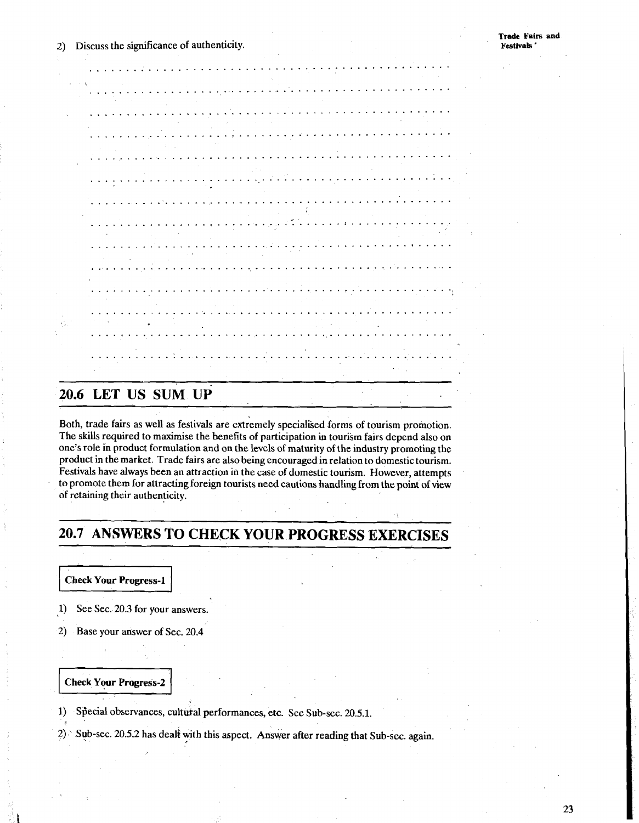2) Discuss the significance of authenticity.

**Trsdc Fairs and Festivals** '

|  |                   |  |                                                          |  |  |   | $\bullet$ |  |  |  |                          |  |                  |  |  |   |                                                                                                                                                                                                                                           |               |  |  |  |  |  |
|--|-------------------|--|----------------------------------------------------------|--|--|---|-----------|--|--|--|--------------------------|--|------------------|--|--|---|-------------------------------------------------------------------------------------------------------------------------------------------------------------------------------------------------------------------------------------------|---------------|--|--|--|--|--|
|  |                   |  |                                                          |  |  |   |           |  |  |  |                          |  |                  |  |  |   |                                                                                                                                                                                                                                           |               |  |  |  |  |  |
|  |                   |  |                                                          |  |  |   |           |  |  |  |                          |  |                  |  |  |   |                                                                                                                                                                                                                                           |               |  |  |  |  |  |
|  |                   |  |                                                          |  |  |   |           |  |  |  |                          |  |                  |  |  |   |                                                                                                                                                                                                                                           |               |  |  |  |  |  |
|  |                   |  |                                                          |  |  |   |           |  |  |  |                          |  |                  |  |  |   |                                                                                                                                                                                                                                           |               |  |  |  |  |  |
|  |                   |  |                                                          |  |  |   |           |  |  |  |                          |  |                  |  |  |   |                                                                                                                                                                                                                                           |               |  |  |  |  |  |
|  |                   |  |                                                          |  |  |   |           |  |  |  |                          |  |                  |  |  |   |                                                                                                                                                                                                                                           |               |  |  |  |  |  |
|  |                   |  |                                                          |  |  |   |           |  |  |  |                          |  |                  |  |  |   |                                                                                                                                                                                                                                           |               |  |  |  |  |  |
|  |                   |  |                                                          |  |  |   |           |  |  |  |                          |  |                  |  |  |   |                                                                                                                                                                                                                                           |               |  |  |  |  |  |
|  |                   |  |                                                          |  |  |   |           |  |  |  |                          |  |                  |  |  |   |                                                                                                                                                                                                                                           |               |  |  |  |  |  |
|  |                   |  |                                                          |  |  |   |           |  |  |  |                          |  |                  |  |  |   |                                                                                                                                                                                                                                           |               |  |  |  |  |  |
|  |                   |  |                                                          |  |  |   |           |  |  |  |                          |  |                  |  |  |   |                                                                                                                                                                                                                                           |               |  |  |  |  |  |
|  |                   |  |                                                          |  |  |   |           |  |  |  |                          |  |                  |  |  |   |                                                                                                                                                                                                                                           |               |  |  |  |  |  |
|  |                   |  |                                                          |  |  |   |           |  |  |  |                          |  |                  |  |  |   |                                                                                                                                                                                                                                           |               |  |  |  |  |  |
|  |                   |  |                                                          |  |  |   |           |  |  |  |                          |  |                  |  |  |   |                                                                                                                                                                                                                                           |               |  |  |  |  |  |
|  |                   |  |                                                          |  |  |   |           |  |  |  |                          |  |                  |  |  | . |                                                                                                                                                                                                                                           |               |  |  |  |  |  |
|  |                   |  |                                                          |  |  |   |           |  |  |  |                          |  |                  |  |  |   |                                                                                                                                                                                                                                           |               |  |  |  |  |  |
|  |                   |  |                                                          |  |  |   |           |  |  |  |                          |  |                  |  |  |   |                                                                                                                                                                                                                                           |               |  |  |  |  |  |
|  |                   |  |                                                          |  |  |   |           |  |  |  |                          |  |                  |  |  |   |                                                                                                                                                                                                                                           |               |  |  |  |  |  |
|  |                   |  |                                                          |  |  |   |           |  |  |  |                          |  |                  |  |  |   |                                                                                                                                                                                                                                           |               |  |  |  |  |  |
|  | $\sim$ 100 $\sim$ |  |                                                          |  |  |   |           |  |  |  |                          |  |                  |  |  |   |                                                                                                                                                                                                                                           |               |  |  |  |  |  |
|  |                   |  |                                                          |  |  |   |           |  |  |  |                          |  |                  |  |  |   |                                                                                                                                                                                                                                           |               |  |  |  |  |  |
|  |                   |  |                                                          |  |  |   |           |  |  |  |                          |  |                  |  |  |   |                                                                                                                                                                                                                                           |               |  |  |  |  |  |
|  |                   |  |                                                          |  |  |   |           |  |  |  |                          |  |                  |  |  |   |                                                                                                                                                                                                                                           |               |  |  |  |  |  |
|  |                   |  |                                                          |  |  |   |           |  |  |  |                          |  |                  |  |  |   |                                                                                                                                                                                                                                           |               |  |  |  |  |  |
|  |                   |  |                                                          |  |  |   |           |  |  |  |                          |  |                  |  |  |   | $\cdots$                                                                                                                                                                                                                                  |               |  |  |  |  |  |
|  |                   |  |                                                          |  |  |   |           |  |  |  |                          |  |                  |  |  |   |                                                                                                                                                                                                                                           |               |  |  |  |  |  |
|  |                   |  |                                                          |  |  |   |           |  |  |  |                          |  |                  |  |  |   |                                                                                                                                                                                                                                           |               |  |  |  |  |  |
|  |                   |  |                                                          |  |  |   |           |  |  |  |                          |  |                  |  |  |   |                                                                                                                                                                                                                                           |               |  |  |  |  |  |
|  |                   |  |                                                          |  |  | . |           |  |  |  |                          |  | a kanya Kalendar |  |  |   |                                                                                                                                                                                                                                           |               |  |  |  |  |  |
|  | $\cdots$          |  |                                                          |  |  |   |           |  |  |  |                          |  |                  |  |  |   |                                                                                                                                                                                                                                           |               |  |  |  |  |  |
|  |                   |  |                                                          |  |  |   |           |  |  |  |                          |  |                  |  |  |   |                                                                                                                                                                                                                                           |               |  |  |  |  |  |
|  |                   |  |                                                          |  |  |   |           |  |  |  |                          |  |                  |  |  |   |                                                                                                                                                                                                                                           |               |  |  |  |  |  |
|  |                   |  |                                                          |  |  |   |           |  |  |  |                          |  |                  |  |  |   |                                                                                                                                                                                                                                           |               |  |  |  |  |  |
|  |                   |  |                                                          |  |  |   |           |  |  |  |                          |  |                  |  |  |   |                                                                                                                                                                                                                                           |               |  |  |  |  |  |
|  |                   |  |                                                          |  |  |   |           |  |  |  |                          |  |                  |  |  |   |                                                                                                                                                                                                                                           |               |  |  |  |  |  |
|  |                   |  |                                                          |  |  |   |           |  |  |  |                          |  |                  |  |  |   |                                                                                                                                                                                                                                           |               |  |  |  |  |  |
|  |                   |  |                                                          |  |  |   |           |  |  |  | <b>Contract Contract</b> |  |                  |  |  |   |                                                                                                                                                                                                                                           |               |  |  |  |  |  |
|  |                   |  |                                                          |  |  |   |           |  |  |  |                          |  |                  |  |  |   |                                                                                                                                                                                                                                           |               |  |  |  |  |  |
|  |                   |  |                                                          |  |  |   |           |  |  |  |                          |  |                  |  |  |   | $\cdots$                                                                                                                                                                                                                                  | $\sim$ $\sim$ |  |  |  |  |  |
|  |                   |  |                                                          |  |  |   |           |  |  |  |                          |  |                  |  |  |   |                                                                                                                                                                                                                                           |               |  |  |  |  |  |
|  |                   |  |                                                          |  |  |   |           |  |  |  |                          |  |                  |  |  |   |                                                                                                                                                                                                                                           |               |  |  |  |  |  |
|  |                   |  |                                                          |  |  |   |           |  |  |  |                          |  |                  |  |  |   |                                                                                                                                                                                                                                           |               |  |  |  |  |  |
|  |                   |  |                                                          |  |  |   |           |  |  |  |                          |  |                  |  |  |   |                                                                                                                                                                                                                                           |               |  |  |  |  |  |
|  |                   |  |                                                          |  |  |   |           |  |  |  |                          |  |                  |  |  |   |                                                                                                                                                                                                                                           |               |  |  |  |  |  |
|  |                   |  | $\mathbf{A}=\mathbf{A}+\mathbf{A}+\mathbf{A}+\mathbf{A}$ |  |  |   |           |  |  |  |                          |  |                  |  |  |   |                                                                                                                                                                                                                                           |               |  |  |  |  |  |
|  |                   |  |                                                          |  |  |   |           |  |  |  |                          |  |                  |  |  |   |                                                                                                                                                                                                                                           |               |  |  |  |  |  |
|  |                   |  |                                                          |  |  |   |           |  |  |  |                          |  |                  |  |  |   |                                                                                                                                                                                                                                           |               |  |  |  |  |  |
|  |                   |  |                                                          |  |  |   |           |  |  |  |                          |  |                  |  |  |   |                                                                                                                                                                                                                                           |               |  |  |  |  |  |
|  |                   |  |                                                          |  |  |   |           |  |  |  |                          |  |                  |  |  |   |                                                                                                                                                                                                                                           |               |  |  |  |  |  |
|  |                   |  |                                                          |  |  |   |           |  |  |  |                          |  |                  |  |  |   |                                                                                                                                                                                                                                           |               |  |  |  |  |  |
|  |                   |  |                                                          |  |  |   |           |  |  |  |                          |  |                  |  |  |   |                                                                                                                                                                                                                                           |               |  |  |  |  |  |
|  |                   |  |                                                          |  |  |   |           |  |  |  |                          |  |                  |  |  |   |                                                                                                                                                                                                                                           |               |  |  |  |  |  |
|  |                   |  |                                                          |  |  |   |           |  |  |  |                          |  |                  |  |  |   | $\mathcal{L}^{\mathcal{L}}$ and the set of the set of the set of the set of the set of the set of the set of the set of the set of the set of the set of the set of the set of the set of the set of the set of the set of the set of the |               |  |  |  |  |  |
|  |                   |  |                                                          |  |  |   |           |  |  |  |                          |  |                  |  |  |   |                                                                                                                                                                                                                                           |               |  |  |  |  |  |
|  |                   |  |                                                          |  |  |   |           |  |  |  |                          |  |                  |  |  |   |                                                                                                                                                                                                                                           |               |  |  |  |  |  |
|  |                   |  |                                                          |  |  |   |           |  |  |  |                          |  |                  |  |  |   |                                                                                                                                                                                                                                           |               |  |  |  |  |  |
|  |                   |  |                                                          |  |  |   |           |  |  |  |                          |  |                  |  |  |   |                                                                                                                                                                                                                                           |               |  |  |  |  |  |
|  |                   |  |                                                          |  |  |   |           |  |  |  |                          |  |                  |  |  |   |                                                                                                                                                                                                                                           |               |  |  |  |  |  |
|  |                   |  |                                                          |  |  |   |           |  |  |  |                          |  |                  |  |  |   |                                                                                                                                                                                                                                           |               |  |  |  |  |  |
|  |                   |  |                                                          |  |  |   |           |  |  |  |                          |  |                  |  |  |   |                                                                                                                                                                                                                                           |               |  |  |  |  |  |
|  |                   |  |                                                          |  |  |   |           |  |  |  |                          |  |                  |  |  |   |                                                                                                                                                                                                                                           |               |  |  |  |  |  |

# **20.6 LET US SUM UP**

Both, trade fairs as well as festivals are extremely specialised forms of tourism promotion. The skills required to maximise the benefits of participation in tourism fairs depend also on one's role in product formulation and on the levels of maturity of the industry promoting the product in the market. Trade fairs are also being encouraged in relation to domestic tourism. Festivals have always been an attraction in the case of domestic tourism. However, attempts to promote them for attracting foreign tourists need cautions handling from the point of view of retaining their authenticity.

# **20.7 ANSWERS TO CHECK YOUR PROGRESS EXERCISES**

**Check Your Progress-1** 

1) See Sec. 20.3 for your answers.

2) Base your answer of Sec. 20.4

### **Check Your Progress-2**

**1)** Sfiecial observances, cultural performances, etc. See Sub-sec. 20.5.1.

2) ' Sub-sec. 20.5.2 has deali with this aspect. Answer after reading that Sub-sec. again.